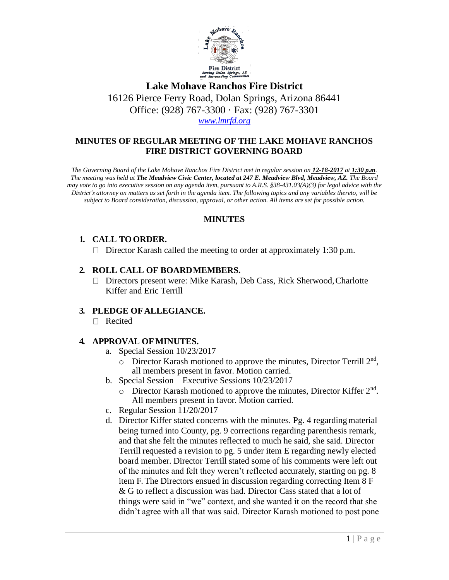

**Lake Mohave Ranchos Fire District** 16126 Pierce Ferry Road, Dolan Springs, Arizona 86441 Office: (928) 767-3300 · Fax: (928) 767-3301 *[www.lmrfd.org](http://www.lmrfd.org/)*

### **MINUTES OF REGULAR MEETING OF THE LAKE MOHAVE RANCHOS FIRE DISTRICT GOVERNING BOARD**

*The Governing Board of the Lake Mohave Ranchos Fire District met in regular session on 12-18-2017 at 1:30 p.m. The meeting was held at The Meadview Civic Center, located at 247 E. Meadview Blvd, Meadview, AZ. The Board*  may vote to go into executive session on any agenda item, pursuant to A.R.S. §38-431.03(A)(3) for legal advice with the *District's attorney on matters as set forth in the agenda item. The following topics and any variables thereto, will be subject to Board consideration, discussion, approval, or other action. All items are set for possible action.*

### **MINUTES**

#### **1. CALL TOORDER.**

Director Karash called the meeting to order at approximately 1:30 p.m.

#### **2. ROLL CALL OF BOARDMEMBERS.**

□ Directors present were: Mike Karash, Deb Cass, Rick Sherwood, Charlotte Kiffer and Eric Terrill

#### **3. PLEDGE OF ALLEGIANCE.**

□ Recited

#### **4. APPROVAL OFMINUTES.**

- a. Special Session 10/23/2017
	- $\circ$  Director Karash motioned to approve the minutes, Director Terrill 2<sup>nd</sup>, all members present in favor. Motion carried.
- b. Special Session Executive Sessions 10/23/2017
	- o Director Karash motioned to approve the minutes, Director Kiffer 2<sup>nd</sup>. All members present in favor. Motion carried.
- c. Regular Session 11/20/2017
- d. Director Kiffer stated concerns with the minutes. Pg. 4 regardingmaterial being turned into County, pg. 9 corrections regarding parenthesis remark, and that she felt the minutes reflected to much he said, she said. Director Terrill requested a revision to pg. 5 under item E regarding newly elected board member. Director Terrill stated some of his comments were left out of the minutes and felt they weren't reflected accurately, starting on pg. 8 item F. The Directors ensued in discussion regarding correcting Item 8 F & G to reflect a discussion was had. Director Cass stated that a lot of things were said in "we" context, and she wanted it on the record that she didn't agree with all that was said. Director Karash motioned to post pone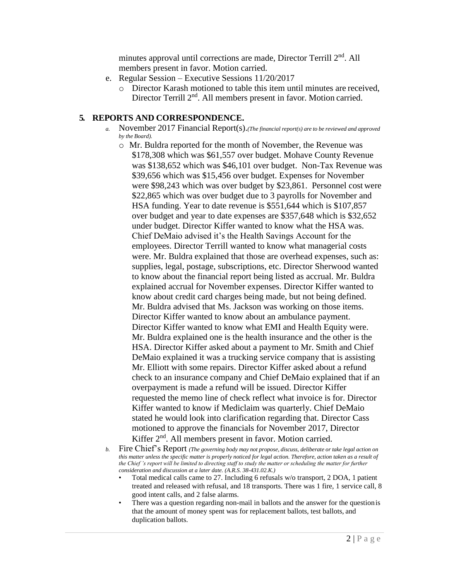minutes approval until corrections are made, Director Terrill 2<sup>nd</sup>. All members present in favor. Motion carried.

- e. Regular Session Executive Sessions 11/20/2017
	- o Director Karash motioned to table this item until minutes are received, Director Terrill 2<sup>nd</sup>. All members present in favor. Motion carried.

### **5. REPORTS AND CORRESPONDENCE.**

- *a.* November 2017 Financial Report(s).*(The financial report(s) are to be reviewed and approved by the Board).*
	- o Mr. Buldra reported for the month of November, the Revenue was \$178,308 which was \$61,557 over budget. Mohave County Revenue was \$138,652 which was \$46,101 over budget. Non-Tax Revenue was \$39,656 which was \$15,456 over budget. Expenses for November were \$98,243 which was over budget by \$23,861. Personnel cost were \$22,865 which was over budget due to 3 payrolls for November and HSA funding. Year to date revenue is \$551,644 which is \$107,857 over budget and year to date expenses are \$357,648 which is \$32,652 under budget. Director Kiffer wanted to know what the HSA was. Chief DeMaio advised it's the Health Savings Account for the employees. Director Terrill wanted to know what managerial costs were. Mr. Buldra explained that those are overhead expenses, such as: supplies, legal, postage, subscriptions, etc. Director Sherwood wanted to know about the financial report being listed as accrual. Mr. Buldra explained accrual for November expenses. Director Kiffer wanted to know about credit card charges being made, but not being defined. Mr. Buldra advised that Ms. Jackson was working on those items. Director Kiffer wanted to know about an ambulance payment. Director Kiffer wanted to know what EMI and Health Equity were. Mr. Buldra explained one is the health insurance and the other is the HSA. Director Kiffer asked about a payment to Mr. Smith and Chief DeMaio explained it was a trucking service company that is assisting Mr. Elliott with some repairs. Director Kiffer asked about a refund check to an insurance company and Chief DeMaio explained that if an overpayment is made a refund will be issued. Director Kiffer requested the memo line of check reflect what invoice is for. Director Kiffer wanted to know if Mediclaim was quarterly. Chief DeMaio stated he would look into clarification regarding that. Director Cass motioned to approve the financials for November 2017, Director Kiffer  $2<sup>nd</sup>$ . All members present in favor. Motion carried.
- *b.* Fire Chief's Report *(The governing body may not propose, discuss, deliberate or take legal action on this matter unless the specific matter is properly noticed for legal action. Therefore, action taken as a result of the Chief 's report will be limited to directing staff to study the matter or scheduling the matter for further consideration and discussion at a later date. (A.R.S. 38-431.02.K.)*
	- Total medical calls came to 27. Including 6 refusals w/o transport, 2 DOA, 1 patient treated and released with refusal, and 18 transports. There was 1 fire, 1 service call, 8 good intent calls, and 2 false alarms.
	- There was a question regarding non-mail in ballots and the answer for the question is that the amount of money spent was for replacement ballots, test ballots, and duplication ballots.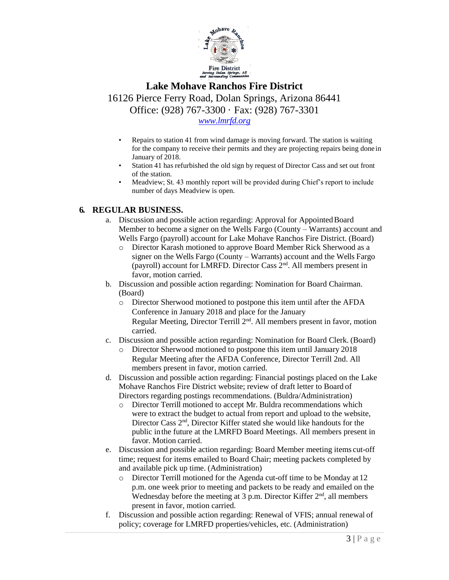

# **Lake Mohave Ranchos Fire District**

16126 Pierce Ferry Road, Dolan Springs, Arizona 86441 Office: (928) 767-3300 · Fax: (928) 767-3301

*[www.lmrfd.org](http://www.lmrfd.org/)*

- Repairs to station 41 from wind damage is moving forward. The station is waiting for the company to receive their permits and they are projecting repairs being done in January of 2018.
- Station 41 has refurbished the old sign by request of Director Cass and set out front of the station.
- Meadview; St. 43 monthly report will be provided during Chief's report to include number of days Meadview is open.

#### **6. REGULAR BUSINESS.**

- a. Discussion and possible action regarding: Approval for AppointedBoard Member to become a signer on the Wells Fargo (County – Warrants) account and Wells Fargo (payroll) account for Lake Mohave Ranchos Fire District. (Board)
	- o Director Karash motioned to approve Board Member Rick Sherwood as a signer on the Wells Fargo (County – Warrants) account and the Wells Fargo (payroll) account for LMRFD. Director Cass 2nd. All members present in favor, motion carried.
- b. Discussion and possible action regarding: Nomination for Board Chairman. (Board)
	- o Director Sherwood motioned to postpone this item until after the AFDA Conference in January 2018 and place for the January Regular Meeting, Director Terrill 2<sup>nd</sup>. All members present in favor, motion carried.
- c. Discussion and possible action regarding: Nomination for Board Clerk. (Board)
	- o Director Sherwood motioned to postpone this item until January 2018 Regular Meeting after the AFDA Conference, Director Terrill 2nd. All members present in favor, motion carried.
- d. Discussion and possible action regarding: Financial postings placed on the Lake Mohave Ranchos Fire District website; review of draft letter to Board of Directors regarding postings recommendations. (Buldra/Administration)
	- o Director Terrill motioned to accept Mr. Buldra recommendations which were to extract the budget to actual from report and upload to the website, Director Cass 2nd, Director Kiffer stated she would like handouts for the public inthe future at the LMRFD Board Meetings. All members present in favor. Motion carried.
- e. Discussion and possible action regarding: Board Member meeting items cut-off time; request for items emailed to Board Chair; meeting packets completed by and available pick up time. (Administration)
	- o Director Terrill motioned for the Agenda cut-off time to be Monday at 12 p.m. one week prior to meeting and packets to be ready and emailed on the Wednesday before the meeting at 3 p.m. Director Kiffer  $2<sup>nd</sup>$ , all members present in favor, motion carried.
- f. Discussion and possible action regarding: Renewal of VFIS; annual renewal of policy; coverage for LMRFD properties/vehicles, etc. (Administration)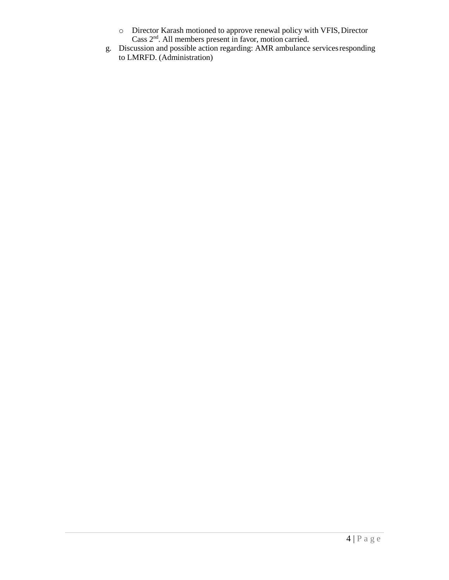- o Director Karash motioned to approve renewal policy with VFIS,Director Cass 2nd. All members present in favor, motion carried.
- g. Discussion and possible action regarding: AMR ambulance servicesresponding to LMRFD. (Administration)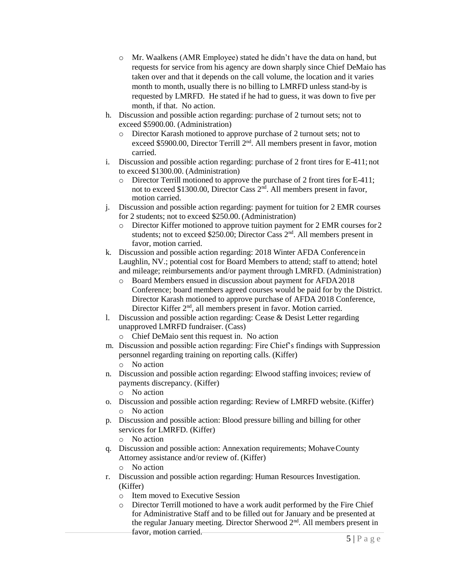- o Mr. Waalkens (AMR Employee) stated he didn't have the data on hand, but requests for service from his agency are down sharply since Chief DeMaio has taken over and that it depends on the call volume, the location and it varies month to month, usually there is no billing to LMRFD unless stand-by is requested by LMRFD. He stated if he had to guess, it was down to five per month, if that. No action.
- h. Discussion and possible action regarding: purchase of 2 turnout sets; not to exceed \$5900.00. (Administration)
	- o Director Karash motioned to approve purchase of 2 turnout sets; not to exceed \$5900.00, Director Terrill 2<sup>nd</sup>. All members present in favor, motion carried.
- i. Discussion and possible action regarding: purchase of 2 front tires for E-411; not to exceed \$1300.00. (Administration)
	- o Director Terrill motioned to approve the purchase of 2 front tires forE-411; not to exceed \$1300.00, Director Cass 2<sup>nd</sup>. All members present in favor, motion carried.
- j. Discussion and possible action regarding: payment for tuition for 2 EMR courses for 2 students; not to exceed \$250.00. (Administration)
	- o Director Kiffer motioned to approve tuition payment for 2 EMR courses for2 students; not to exceed \$250.00; Director Cass  $2<sup>nd</sup>$ . All members present in favor, motion carried.
- k. Discussion and possible action regarding: 2018 Winter AFDA Conferencein Laughlin, NV.; potential cost for Board Members to attend; staff to attend; hotel and mileage; reimbursements and/or payment through LMRFD. (Administration)
	- o Board Members ensued in discussion about payment for AFDA2018 Conference; board members agreed courses would be paid for by the District. Director Karash motioned to approve purchase of AFDA 2018 Conference, Director Kiffer 2<sup>nd</sup>, all members present in favor. Motion carried.
- l. Discussion and possible action regarding: Cease & Desist Letter regarding unapproved LMRFD fundraiser. (Cass)
	- o Chief DeMaio sent this request in. No action
- m. Discussion and possible action regarding: Fire Chief's findings with Suppression personnel regarding training on reporting calls. (Kiffer) o No action
- n. Discussion and possible action regarding: Elwood staffing invoices; review of payments discrepancy. (Kiffer)
	- o No action
- o. Discussion and possible action regarding: Review of LMRFD website. (Kiffer) o No action
- p. Discussion and possible action: Blood pressure billing and billing for other services for LMRFD. (Kiffer)
	- o No action
- q. Discussion and possible action: Annexation requirements; MohaveCounty Attorney assistance and/or review of. (Kiffer)
	- o No action
- r. Discussion and possible action regarding: Human Resources Investigation. (Kiffer)
	- o Item moved to Executive Session
	- o Director Terrill motioned to have a work audit performed by the Fire Chief for Administrative Staff and to be filled out for January and be presented at the regular January meeting. Director Sherwood 2nd. All members present in favor, motion carried.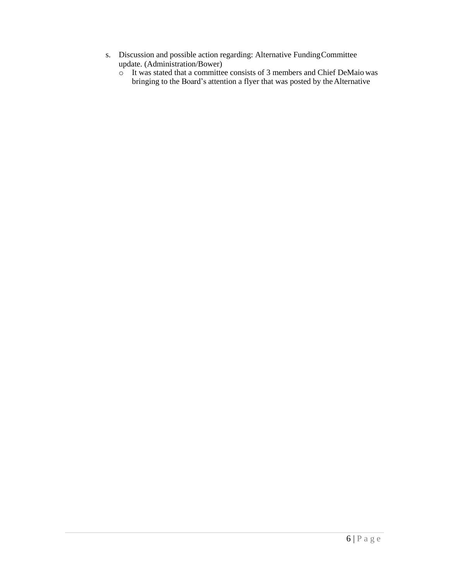- s. Discussion and possible action regarding: Alternative FundingCommittee update. (Administration/Bower)
	- o It was stated that a committee consists of 3 members and Chief DeMaio was bringing to the Board's attention a flyer that was posted by the Alternative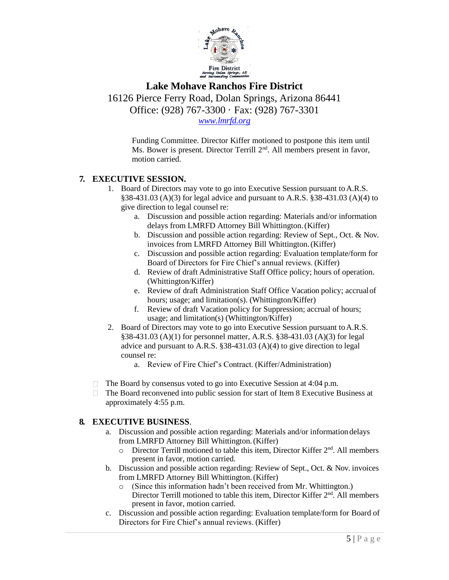

## **Lake Mohave Ranchos Fire District**

16126 Pierce Ferry Road, Dolan Springs, Arizona 86441 Office: (928) 767-3300 · Fax: (928) 767-3301

*[www.lmrfd.org](http://www.lmrfd.org/)*

Funding Committee. Director Kiffer motioned to postpone this item until Ms. Bower is present. Director Terrill 2<sup>nd</sup>. All members present in favor, motion carried.

### **7. EXECUTIVE SESSION.**

- 1. Board of Directors may vote to go into Executive Session pursuant to A.R.S. §38-431.03 (A)(3) for legal advice and pursuant to A.R.S. §38-431.03 (A)(4) to give direction to legal counsel re:
	- a. Discussion and possible action regarding: Materials and/or information delays from LMRFD Attorney Bill Whittington.(Kiffer)
	- b. Discussion and possible action regarding: Review of Sept., Oct. & Nov. invoices from LMRFD Attorney Bill Whittington.(Kiffer)
	- c. Discussion and possible action regarding: Evaluation template/form for Board of Directors for Fire Chief's annual reviews. (Kiffer)
	- d. Review of draft Administrative Staff Office policy; hours of operation. (Whittington/Kiffer)
	- e. Review of draft Administration Staff Office Vacation policy; accrualof hours; usage; and limitation(s). (Whittington/Kiffer)
	- f. Review of draft Vacation policy for Suppression; accrual of hours; usage; and limitation(s) (Whittington/Kiffer)
- 2. Board of Directors may vote to go into Executive Session pursuant toA.R.S. §38-431.03 (A)(1) for personnel matter, A.R.S. §38-431.03 (A)(3) for legal advice and pursuant to A.R.S. §38-431.03 (A)(4) to give direction to legal counsel re:
	- a. Review of Fire Chief's Contract. (Kiffer/Administration)
- $\Box$  The Board by consensus voted to go into Executive Session at 4:04 p.m.
- $\Box$  The Board reconvened into public session for start of Item 8 Executive Business at approximately 4:55 p.m.

#### **8. EXECUTIVE BUSINESS**.

- a. Discussion and possible action regarding: Materials and/or information delays from LMRFD Attorney Bill Whittington.(Kiffer)
	- $\circ$  Director Terrill motioned to table this item, Director Kiffer  $2<sup>nd</sup>$ . All members present in favor, motion carried.
- b. Discussion and possible action regarding: Review of Sept., Oct. & Nov. invoices from LMRFD Attorney Bill Whittington.(Kiffer)
	- o (Since this information hadn't been received from Mr. Whittington.) Director Terrill motioned to table this item, Director Kiffer 2<sup>nd</sup>. All members present in favor, motion carried.
- c. Discussion and possible action regarding: Evaluation template/form for Board of Directors for Fire Chief's annual reviews. (Kiffer)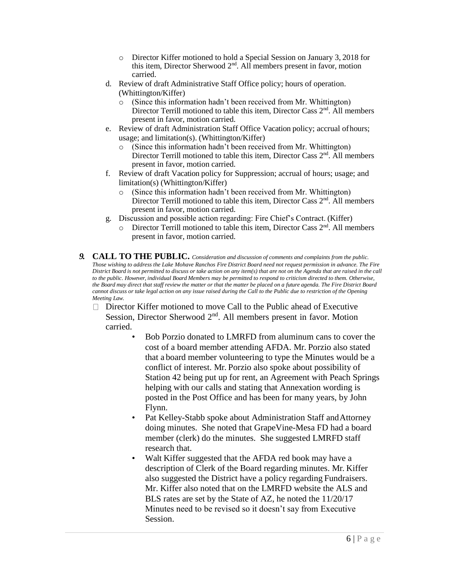- o Director Kiffer motioned to hold a Special Session on January 3, 2018 for this item, Director Sherwood  $2<sup>nd</sup>$ . All members present in favor, motion carried.
- d. Review of draft Administrative Staff Office policy; hours of operation. (Whittington/Kiffer)
	- o (Since this information hadn't been received from Mr. Whittington) Director Terrill motioned to table this item. Director Cass  $2<sup>nd</sup>$ . All members present in favor, motion carried.
- e. Review of draft Administration Staff Office Vacation policy; accrual ofhours; usage; and limitation(s). (Whittington/Kiffer)
	- o (Since this information hadn't been received from Mr. Whittington) Director Terrill motioned to table this item, Director Cass 2<sup>nd</sup>. All members present in favor, motion carried.
- f. Review of draft Vacation policy for Suppression; accrual of hours; usage; and limitation(s) (Whittington/Kiffer)
	- o (Since this information hadn't been received from Mr. Whittington) Director Terrill motioned to table this item, Director Cass 2<sup>nd</sup>. All members present in favor, motion carried.
- g. Discussion and possible action regarding: Fire Chief's Contract. (Kiffer)
	- $\circ$  Director Terrill motioned to table this item, Director Cass  $2<sup>nd</sup>$ . All members present in favor, motion carried.
- *9.* **CALL TO THE PUBLIC.** *Consideration and discussion of comments and complaints from the public. Those wishing to address the Lake Mohave Ranchos Fire District Board need not request permission in advance. The Fire District Board is not permitted to discuss or take action on any item(s) that are not on the Agenda that are raised in the call to the public. However, individual Board Members may be permitted to respond to criticism directed to them. Otherwise, the Board may direct that staff review the matter or that the matter be placed on a future agenda. The Fire District Board cannot discuss or take legal action on any issue raised during the Call to the Public due to restriction of the Opening Meeting Law.*
	- Director Kiffer motioned to move Call to the Public ahead of Executive  $\mathbf{L}$ Session, Director Sherwood 2<sup>nd</sup>. All members present in favor. Motion carried.
		- Bob Porzio donated to LMRFD from aluminum cans to cover the cost of a board member attending AFDA. Mr. Porzio also stated that a board member volunteering to type the Minutes would be a conflict of interest. Mr. Porzio also spoke about possibility of Station 42 being put up for rent, an Agreement with Peach Springs helping with our calls and stating that Annexation wording is posted in the Post Office and has been for many years, by John Flynn.
		- Pat Kelley-Stabb spoke about Administration Staff and Attorney doing minutes. She noted that GrapeVine-Mesa FD had a board member (clerk) do the minutes. She suggested LMRFD staff research that.
		- Walt Kiffer suggested that the AFDA red book may have a description of Clerk of the Board regarding minutes. Mr. Kiffer also suggested the District have a policy regarding Fundraisers. Mr. Kiffer also noted that on the LMRFD website the ALS and BLS rates are set by the State of AZ, he noted the 11/20/17 Minutes need to be revised so it doesn't say from Executive Session.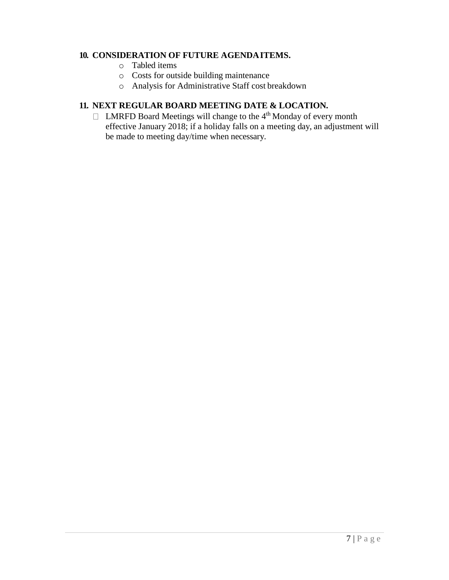#### **10. CONSIDERATION OF FUTURE AGENDAITEMS.**

- o Tabled items
- o Costs for outside building maintenance
- o Analysis for Administrative Staff cost breakdown

## **11. NEXT REGULAR BOARD MEETING DATE & LOCATION.**

 $\Box$  LMRFD Board Meetings will change to the 4<sup>th</sup> Monday of every month effective January 2018; if a holiday falls on a meeting day, an adjustment will be made to meeting day/time when necessary.